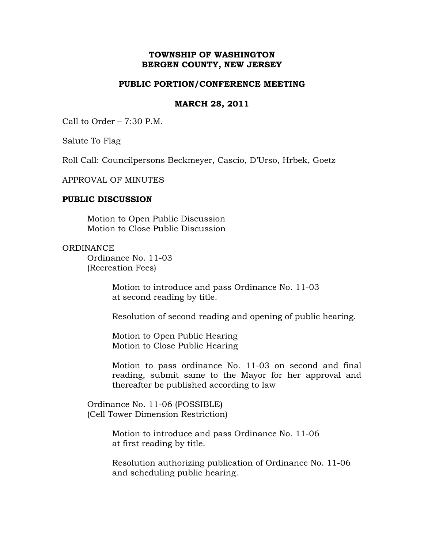# **TOWNSHIP OF WASHINGTON BERGEN COUNTY, NEW JERSEY**

## **PUBLIC PORTION/CONFERENCE MEETING**

## **MARCH 28, 2011**

Call to Order – 7:30 P.M.

Salute To Flag

Roll Call: Councilpersons Beckmeyer, Cascio, D'Urso, Hrbek, Goetz

APPROVAL OF MINUTES

### **PUBLIC DISCUSSION**

Motion to Open Public Discussion Motion to Close Public Discussion

### **ORDINANCE**

Ordinance No. 11-03 (Recreation Fees)

> Motion to introduce and pass Ordinance No. 11-03 at second reading by title.

Resolution of second reading and opening of public hearing.

 Motion to Open Public Hearing Motion to Close Public Hearing

Motion to pass ordinance No. 11-03 on second and final reading, submit same to the Mayor for her approval and thereafter be published according to law

 Ordinance No. 11-06 (POSSIBLE) (Cell Tower Dimension Restriction)

> Motion to introduce and pass Ordinance No. 11-06 at first reading by title.

 Resolution authorizing publication of Ordinance No. 11-06 and scheduling public hearing.